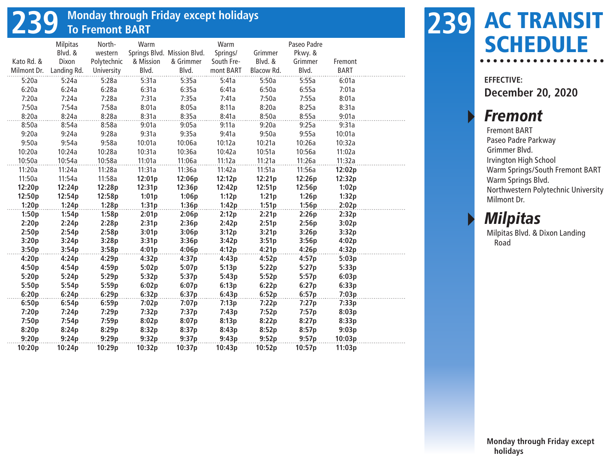# **239 Monday through Friday except holidays To Fremont BART**

|             | <b>Milpitas</b> | North-      | Warm      |                             | Warm       |            | Paseo Padre |             |  |
|-------------|-----------------|-------------|-----------|-----------------------------|------------|------------|-------------|-------------|--|
|             | Blvd. &         | western     |           | Springs Blvd. Mission Blvd. | Springs/   | Grimmer    | Pkwy. &     |             |  |
| Kato Rd. &  | Dixon           | Polytechnic | & Mission | & Grimmer                   | South Fre- | Blvd. &    | Grimmer     | Fremont     |  |
| Milmont Dr. | Landing Rd.     | University  | Blvd.     | Blvd.                       | mont BART  | Blacow Rd. | Blvd.       | <b>BART</b> |  |
| 5:20a       | 5:24a           | 5:28a       | 5:31a     | 5:35a                       | 5:41a      | 5:50a      | 5:55a       | 6:01a       |  |
| 6:20a       | 6:24a           | 6:28a       | 6:31a     | 6:35a                       | 6:41a      | 6:50a      | 6:55a       | 7:01a       |  |
| 7:20a       | 7:24a           | 7:28a       | 7:31a     | 7:35a                       | 7:41a      | 7:50a      | 7:55a       | 8:01a       |  |
| 7:50a       | 7:54a           | 7:58a       | 8:01a     | 8:05a                       | 8:11a      | 8:20a      | 8:25a       | 8:31a       |  |
| 8:20a       | 8:24a           | 8:28a       | 8:31a     | 8:35a                       | 8:41a      | 8:50a      | 8:55a       | 9:01a       |  |
| 8:50a       | 8:54a           | 8:58a       | 9:01a     | 9:05a                       | 9:11a      | 9:20a      | 9:25a       | 9:31a       |  |
| 9:20a       | 9:24a           | 9:28a       | 9:31a     | 9:35a                       | 9:41a      | 9:50a      | 9:55a       | 10:01a      |  |
| 9:50a       | 9:54a           | 9:58a       | 10:01a    | 10:06a                      | 10:12a     | 10:21a     | 10:26a      | 10:32a      |  |
| 10:20a      | 10:24a          | 10:28a      | 10:31a    | 10:36a                      | 10:42a     | 10:51a     | 10:56a      | 11:02a      |  |
| 10:50a      | 10:54a          | 10:58a      | 11:01a    | 11:06a                      | 11:12a     | 11:21a     | 11:26a      | 11:32a      |  |
| 11:20a      | 11:24a          | 11:28a      | 11:31a    | 11:36a                      | 11:42a     | 11:51a     | 11:56a      | 12:02p      |  |
| 11:50a      | 11:54a          | 11:58a      | 12:01p    | 12:06p                      | 12:12p     | 12:21p     | 12:26p      | 12:32p      |  |
| 12:20p      | 12:24p          | 12:28p      | 12:31p    | 12:36p                      | 12:42p     | 12:51p     | 12:56p      | 1:02p       |  |
| 12:50p      | 12:54p          | 12:58p      | 1:01p     | 1:06p                       | 1:12p      | 1:21p      | 1:26p       | 1:32p       |  |
| 1:20p       | 1:24p           | 1:28p       | 1:31p     | 1:36p                       | 1:42p      | 1:51p      | 1:56p       | 2:02p       |  |
| 1:50p       | 1:54p           | 1:58p       | 2:01p     | 2:06p                       | 2:12p      | 2:21p      | 2:26p       | 2:32p       |  |
| 2:20p       | 2:24p           | 2:28p       | 2:31p     | 2:36p                       | 2:42p      | 2:51p      | 2:56p       | 3:02p       |  |
| 2:50p       | 2:54p           | 2:58p       | 3:01p     | 3:06p                       | 3:12p      | 3:21p      | 3:26p       | 3:32p       |  |
| 3:20p       | 3:24p           | 3:28p       | 3:31p     | 3:36p                       | 3:42p      | 3:51p      | 3:56p       | 4:02p       |  |
| 3:50p       | 3:54p           | 3:58p       | 4:01p     | 4:06p                       | 4:12p      | 4:21p      | 4:26p       | 4:32p       |  |
| 4:20p       | 4:24p           | 4:29p       | 4:32p     | 4:37p                       | 4:43p      | 4:52p      | 4:57p       | 5:03p       |  |
| 4:50p       | 4:54p           | 4:59p       | 5:02p     | 5:07p                       | 5:13p      | 5:22p      | 5:27p       | 5:33p       |  |
| 5:20p       | 5:24p           | 5:29p       | 5:32p     | 5:37p                       | 5:43p      | 5:52p      | 5:57p       | 6:03p       |  |
| 5:50p       | 5:54p           | 5:59p       | 6:02p     | 6:07p                       | 6:13p      | 6:22p      | 6:27p       | 6:33p       |  |
| 6:20p       | 6:24p           | 6:29p       | 6:32p     | 6:37p                       | 6:43p      | 6:52p      | 6:57p       | 7:03p       |  |
| 6:50p       | 6:54p           | 6:59p       | 7:02p     | 7:07p                       | 7:13p      | 7:22p      | 7:27p       | 7:33p       |  |
| 7:20p       | 7:24p           | 7:29p       | 7:32p     | 7:37p                       | 7:43p      | 7:52p      | 7:57p       | 8:03p       |  |
| 7:50p       | 7:54p           | 7:59p       | 8:02p     | 8:07p                       | 8:13p      | 8:22p      | 8:27p       | 8:33p       |  |
| 8:20p       | 8:24p           | 8:29p       | 8:32p     | 8:37p                       | 8:43p      | 8:52p      | 8:57p       | 9:03p       |  |
| 9:20p       | 9:24p           | 9:29p       | 9:32p     | 9:37p                       | 9:43p      | 9:52p      | 9:57p       | 10:03p      |  |
| 10:20p      | 10:24p          | 10:29p      | 10:32p    | 10:37p                      | 10:43p     | 10:52p     | 10:57p      | 11:03p      |  |

### AC TRANSIT **239 SCHEDULE**

**EFFECTIVE: December 20, 2020**

#### **Fremont**

Fremont BART Paseo Padre Parkway Grimmer Blvd. Irvington High School Warm Springs/South Fremont BART Warm Springs Blvd. Northwestern Polytechnic University Milmont Dr.

### **Milpitas**

Milpitas Blvd. & Dixon Landing Road

**Monday through Friday except holidays**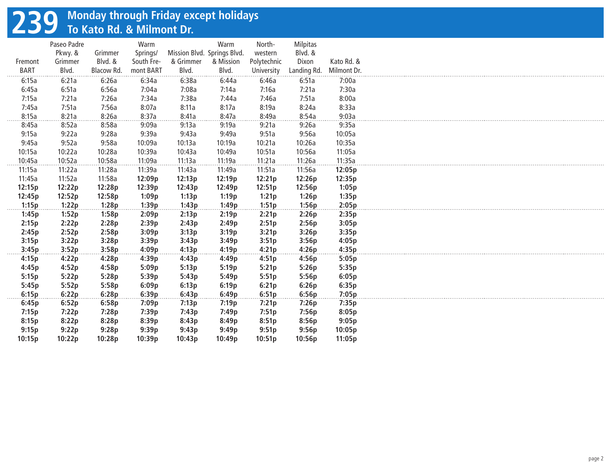# **239 Monday through Friday except holidays To Kato Rd. & Milmont Dr.**

|                        | Paseo Padre      |                    | Warm                   |                             | Warm               | North-                    | Milpitas             |                           |
|------------------------|------------------|--------------------|------------------------|-----------------------------|--------------------|---------------------------|----------------------|---------------------------|
|                        | Pkwy. &          | Grimmer<br>Blvd. & | Springs/<br>South Fre- | Mission Blvd. Springs Blvd. |                    | western                   | Blvd. &              |                           |
| Fremont<br><b>BART</b> | Grimmer<br>Blvd. | Blacow Rd.         | mont BART              | & Grimmer<br>Blvd.          | & Mission<br>Blvd. | Polytechnic<br>University | Dixon<br>Landing Rd. | Kato Rd. &<br>Milmont Dr. |
|                        |                  |                    |                        |                             |                    |                           |                      |                           |
| 6:15a                  | 6:21a            | 6:26a              | 6:34a                  | 6:38a                       | 6:44a              | 6:46a                     | 6:51a                | 7:00a                     |
| 6:45a                  | 6:51a            | 6:56a              | 7:04a                  | 7:08a                       | 7:14a              | 7:16a                     | 7:21a                | 7:30a                     |
| 7:15a                  | 7:21a            | 7:26a              | 7:34a                  | 7:38a                       | 7:44a              | 7:46a                     | 7:51a                | 8:00a                     |
| 7:45a                  | 7:51a            | 7:56a              | 8:07a                  | 8:11a                       | 8:17a              | 8:19a                     | 8:24a                | 8:33a                     |
| 8:15a                  | 8:21a            | 8:26a              | 8:37a                  | 8:41a                       | 8:47a              | 8:49a                     | 8:54a                | 9:03a                     |
| 8:45a                  | 8:52a            | 8:58a              | 9:09a                  | 9:13a                       | 9:19a              | 9:21a                     | 9:26a                | 9:35a                     |
| 9:15a                  | 9:22a            | 9:28a              | 9:39a                  | 9:43a                       | 9:49a              | 9:51a                     | 9:56a                | 10:05a                    |
| 9:45a                  | 9:52a            | 9:58a              | 10:09a                 | 10:13a                      | 10:19a             | 10:21a                    | 10:26a               | 10:35a                    |
| 10:15a                 | 10:22a           | 10:28a             | 10:39a                 | 10:43a                      | 10:49a             | 10:51a                    | 10:56a               | 11:05a                    |
| 10:45a                 | 10:52a           | 10:58a             | 11:09a                 | 11:13a                      | 11:19a             | 11:21a                    | 11:26a               | 11:35a                    |
| 11:15a                 | 11:22a           | 11:28a             | 11:39a                 | 11:43a                      | 11:49a             | 11:51a                    | 11:56a               | 12:05p                    |
| 11:45a                 | 11:52a           | 11:58a             | 12:09p                 | 12:13p                      | 12:19p             | 12:21p                    | 12:26p               | 12:35p                    |
| 12:15p                 | 12:22p           | 12:28p             | 12:39p                 | 12:43p                      | 12:49p             | 12:51p                    | 12:56p               | 1:05p                     |
| 12:45p                 | 12:52p           | 12:58p             | 1:09p                  | 1:13p                       | 1:19p              | 1:21p                     | 1:26p                | 1:35p                     |
| 1:15p                  | 1:22p            | 1:28p              | 1:39p                  | 1:43p                       | 1:49p              | 1:51p                     | 1:56p                | 2:05p                     |
| 1:45p                  | 1:52p            | 1:58p              | 2:09p                  | 2:13p                       | 2:19p              | 2:21p                     | 2:26p                | 2:35p                     |
| 2:15p                  | 2:22p            | 2:28p              | 2:39p                  | 2:43p                       | 2:49p              | 2:51p                     | 2:56p                | 3:05p                     |
| 2:45p                  | 2:52p            | 2:58p              | 3:09p                  | 3:13p                       | 3:19p              | 3:21p                     | 3:26p                | 3:35p                     |
| 3:15p                  | 3:22p            | 3:28p              | 3:39p                  | 3:43p                       | 3:49p              | 3:51p                     | 3:56p                | 4:05p                     |
| 3:45p                  | 3:52p            | 3:58p              | 4:09p                  | 4:13p                       | 4:19p              | 4:21p                     | 4:26p                | 4:35p                     |
| 4:15p                  | 4:22p            | 4:28p              | 4:39p                  | 4:43p                       | 4:49p              | 4:51p                     | 4:56p                | 5:05p                     |
| 4:45p                  | 4:52p            | 4:58p              | 5:09p                  | 5:13p                       | 5:19p              | 5:21p                     | 5:26p                | 5:35p                     |
| 5:15p                  | 5:22p            | 5:28p              | 5:39p                  | 5:43p                       | 5:49p              | 5:51p                     | 5:56p                | 6:05p                     |
| 5:45p                  | 5:52p            | 5:58p              | 6:09p                  | 6:13p                       | 6:19p              | 6:21p                     | 6:26p                | 6:35p                     |
| 6:15p                  | 6:22p            | 6:28p              | 6:39p                  | 6:43p                       | 6:49p              | 6:51p                     | 6:56p                | 7:05p                     |
| 6:45p                  | 6:52p            | 6:58p              | 7:09p                  | 7:13p                       | 7:19p              | 7:21p                     | 7:26p                | 7:35p                     |
| 7:15p                  | 7:22p            | 7:28p              | 7:39p                  | 7:43p                       | 7:49p              | 7:51p                     | 7:56p                | 8:05p                     |
| 8:15p                  | 8:22p            | 8:28p              | 8:39p                  | 8:43p                       | 8:49p              | 8:51p                     | 8:56p                | 9:05p                     |
| 9:15p                  | 9:22p            | 9:28p              | 9:39p                  | 9:43p                       | 9:49p              | 9:51p                     | 9:56p                | 10:05p                    |
| 10:15p                 | 10:22p           | 10:28p             | 10:39p                 | 10:43p                      | 10:49p             | 10:51p                    | 10:56p               | 11:05p                    |